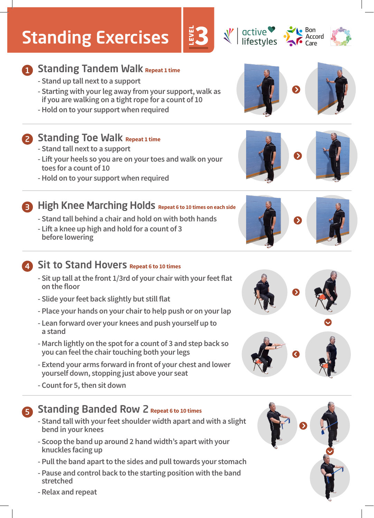# Standing Exercises

# **1** Standing Tandem Walk Repeat 1 time

- **Stand up tall next to a support**
- **Starting with your leg away from your support, walk as if you are walking on a tight rope for a count of 10**
- **Hold on to your support when required**

### **2** Standing Toe Walk Repeat 1 time

- **Lift your heels so you are on your toes and walk on your toes for a count of 10**
- **Hold on to your support when required**

## **- Stand tall next to a support**

### **Repeat 6 to 10 times on each side Repeat 6 to 10 times on each side - Stand tall behind a chair and hold on with both hands**

**- Lift a knee up high and hold for a count of 3 before lowering** 

## **4** Sit to Stand Hovers Repeat 6 to 10 times

- **Sit up tall at the front 1/3rd of your chair with your feet flat on the floor**
- **Slide your feet back slightly but still flat**
- **Place your hands on your chair to help push or on your lap**
- **Lean forward over your knees and push yourself up to a stand**
- **March lightly on the spot for a count of 3 and step back so you can feel the chair touching both your legs**
- **Extend your arms forward in front of your chest and lower yourself down, stopping just above your seat**
- **Count for 5, then sit down**

# **S** Standing Banded Row 2 Repeat 6 to 10 times

- **Stand tall with your feet shoulder width apart and with a slight bend in your knees**
- **Scoop the band up around 2 hand width's apart with your knuckles facing up**
- **Pull the band apart to the sides and pull towards your stomach**
- **Pause and control back to the starting position with the band stretched**
- **Relax and repeat**